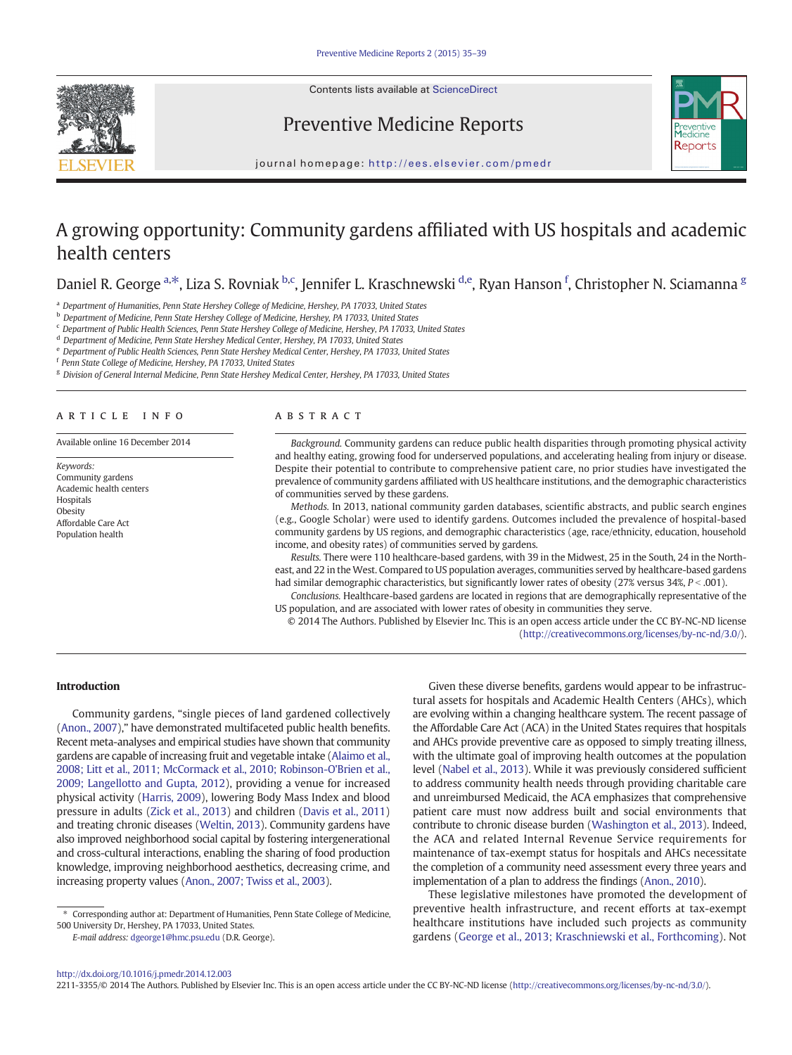

# Preventive Medicine Reports



journal homepage: <http://ees.elsevier.com/pmedr>

# A growing opportunity: Community gardens affiliated with US hospitals and academic health centers

Daniel R. George <sup>a,\*</sup>, Liza S. Rovniak <sup>b,c</sup>, Jennifer L. Kraschnewski <sup>d,e</sup>, Ryan Hanson <sup>f</sup>, Christopher N. Sciamanna <sup>g</sup>

<sup>a</sup> Department of Humanities, Penn State Hershey College of Medicine, Hershey, PA 17033, United States

b Department of Medicine, Penn State Hershey College of Medicine, Hershey, PA 17033, United States

<sup>c</sup> Department of Public Health Sciences, Penn State Hershey College of Medicine, Hershey, PA 17033, United States

<sup>d</sup> Department of Medicine, Penn State Hershey Medical Center, Hershey, PA 17033, United States

<sup>e</sup> Department of Public Health Sciences, Penn State Hershey Medical Center, Hershey, PA 17033, United States

<sup>f</sup> Penn State College of Medicine, Hershey, PA 17033, United States

<sup>g</sup> Division of General Internal Medicine, Penn State Hershey Medical Center, Hershey, PA 17033, United States

# article info abstract

Available online 16 December 2014

Keywords: Community gardens Academic health centers Hospitals **Obesity** Affordable Care Act Population health

Background. Community gardens can reduce public health disparities through promoting physical activity and healthy eating, growing food for underserved populations, and accelerating healing from injury or disease. Despite their potential to contribute to comprehensive patient care, no prior studies have investigated the prevalence of community gardens affiliated with US healthcare institutions, and the demographic characteristics of communities served by these gardens.

Methods. In 2013, national community garden databases, scientific abstracts, and public search engines (e.g., Google Scholar) were used to identify gardens. Outcomes included the prevalence of hospital-based community gardens by US regions, and demographic characteristics (age, race/ethnicity, education, household income, and obesity rates) of communities served by gardens.

Results. There were 110 healthcare-based gardens, with 39 in the Midwest, 25 in the South, 24 in the Northeast, and 22 in the West. Compared to US population averages, communities served by healthcare-based gardens had similar demographic characteristics, but significantly lower rates of obesity (27% versus 34%,  $P < .001$ ).

Conclusions. Healthcare-based gardens are located in regions that are demographically representative of the US population, and are associated with lower rates of obesity in communities they serve.

© 2014 The Authors. Published by Elsevier Inc. This is an open access article under the CC BY-NC-ND license ([http://creativecommons.org/licenses/by-nc-nd/3.0/\)](http://creativecommons.org/licenses/by-nc-nd/3.0/).

# Introduction

Community gardens, "single pieces of land gardened collectively [\(Anon., 2007](#page-3-0))," have demonstrated multifaceted public health benefits. Recent meta-analyses and empirical studies have shown that community gardens are capable of increasing fruit and vegetable intake ([Alaimo et al.,](#page-3-0) [2008; Litt et al., 2011; McCormack et al., 2010; Robinson-O'Brien et al.,](#page-3-0) [2009; Langellotto and Gupta, 2012](#page-3-0)), providing a venue for increased physical activity ([Harris, 2009](#page-3-0)), lowering Body Mass Index and blood pressure in adults [\(Zick et al., 2013](#page-4-0)) and children [\(Davis et al., 2011](#page-3-0)) and treating chronic diseases [\(Weltin, 2013\)](#page-4-0). Community gardens have also improved neighborhood social capital by fostering intergenerational and cross-cultural interactions, enabling the sharing of food production knowledge, improving neighborhood aesthetics, decreasing crime, and increasing property values [\(Anon., 2007; Twiss et al., 2003\)](#page-3-0).

E-mail address: [dgeorge1@hmc.psu.edu](mailto:dgeorge1@hmc.psu.edu) (D.R. George).

Given these diverse benefits, gardens would appear to be infrastructural assets for hospitals and Academic Health Centers (AHCs), which are evolving within a changing healthcare system. The recent passage of the Affordable Care Act (ACA) in the United States requires that hospitals and AHCs provide preventive care as opposed to simply treating illness, with the ultimate goal of improving health outcomes at the population level ([Nabel et al., 2013](#page-3-0)). While it was previously considered sufficient to address community health needs through providing charitable care and unreimbursed Medicaid, the ACA emphasizes that comprehensive patient care must now address built and social environments that contribute to chronic disease burden [\(Washington et al., 2013](#page-4-0)). Indeed, the ACA and related Internal Revenue Service requirements for maintenance of tax-exempt status for hospitals and AHCs necessitate the completion of a community need assessment every three years and implementation of a plan to address the findings [\(Anon., 2010](#page-3-0)).

These legislative milestones have promoted the development of preventive health infrastructure, and recent efforts at tax-exempt healthcare institutions have included such projects as community gardens [\(George et al., 2013; Kraschniewski et al., Forthcoming\)](#page-3-0). Not

2211-3355/© 2014 The Authors. Published by Elsevier Inc. This is an open access article under the CC BY-NC-ND license ([http://creativecommons.org/licenses/by-nc-nd/3.0/\)](http://creativecommons.org/licenses/by-nc-nd/3.0/).

<sup>⁎</sup> Corresponding author at: Department of Humanities, Penn State College of Medicine, 500 University Dr, Hershey, PA 17033, United States.

<http://dx.doi.org/10.1016/j.pmedr.2014.12.003>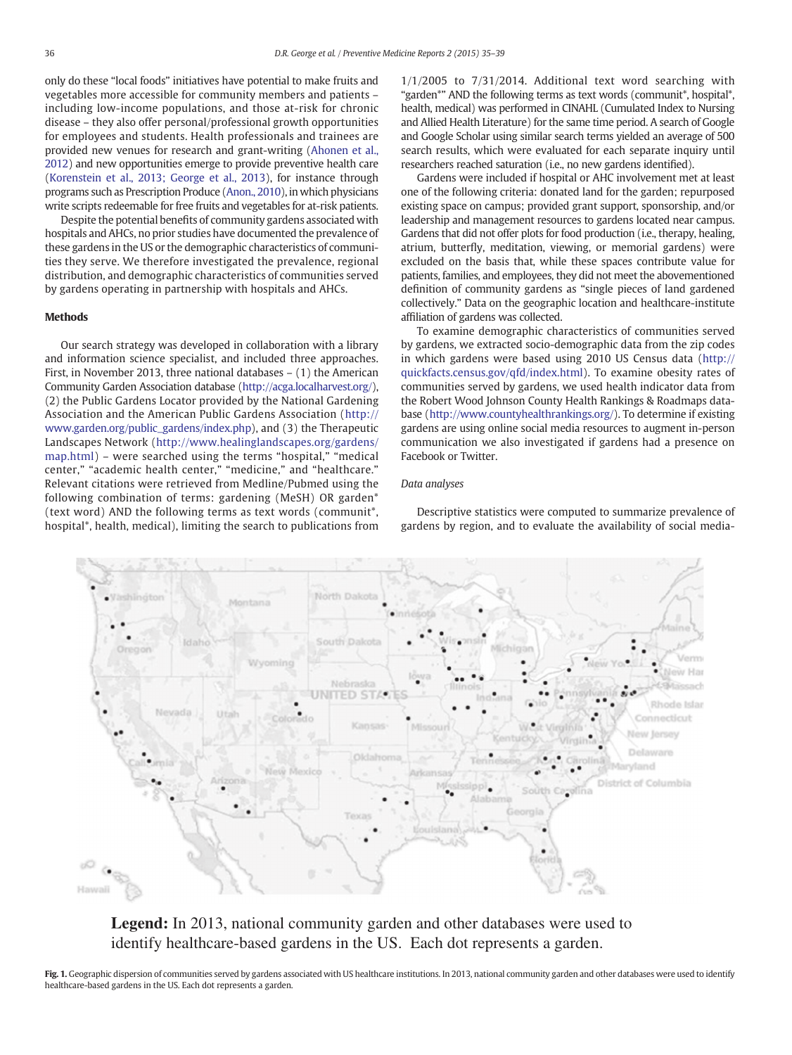<span id="page-1-0"></span>only do these "local foods" initiatives have potential to make fruits and vegetables more accessible for community members and patients – including low-income populations, and those at-risk for chronic disease – they also offer personal/professional growth opportunities for employees and students. Health professionals and trainees are provided new venues for research and grant-writing [\(Ahonen et al.,](#page-3-0) [2012](#page-3-0)) and new opportunities emerge to provide preventive health care [\(Korenstein et al., 2013; George et al., 2013\)](#page-3-0), for instance through programs such as Prescription Produce [\(Anon., 2010](#page-3-0)), in which physicians write scripts redeemable for free fruits and vegetables for at-risk patients.

Despite the potential benefits of community gardens associated with hospitals and AHCs, no prior studies have documented the prevalence of these gardens in the US or the demographic characteristics of communities they serve. We therefore investigated the prevalence, regional distribution, and demographic characteristics of communities served by gardens operating in partnership with hospitals and AHCs.

# Methods

Our search strategy was developed in collaboration with a library and information science specialist, and included three approaches. First, in November 2013, three national databases – (1) the American Community Garden Association database [\(http://acga.localharvest.org/\)](http://acga.localharvest.org/), (2) the Public Gardens Locator provided by the National Gardening Association and the American Public Gardens Association ([http://](http://www.garden.org/public_gardens/index.php) [www.garden.org/public\\_gardens/index.php\)](http://www.garden.org/public_gardens/index.php), and (3) the Therapeutic Landscapes Network ([http://www.healinglandscapes.org/gardens/](http://www.healinglandscapes.org/gardens/map.html) [map.html\)](http://www.healinglandscapes.org/gardens/map.html) – were searched using the terms "hospital," "medical center," "academic health center," "medicine," and "healthcare." Relevant citations were retrieved from Medline/Pubmed using the following combination of terms: gardening (MeSH) OR garden\* (text word) AND the following terms as text words (communit\*, hospital\*, health, medical), limiting the search to publications from  $1/1/2005$  to  $7/31/2014$ . Additional text word searching with "garden\*" AND the following terms as text words (communit\*, hospital\*, health, medical) was performed in CINAHL (Cumulated Index to Nursing and Allied Health Literature) for the same time period. A search of Google and Google Scholar using similar search terms yielded an average of 500 search results, which were evaluated for each separate inquiry until researchers reached saturation (i.e., no new gardens identified).

Gardens were included if hospital or AHC involvement met at least one of the following criteria: donated land for the garden; repurposed existing space on campus; provided grant support, sponsorship, and/or leadership and management resources to gardens located near campus. Gardens that did not offer plots for food production (i.e., therapy, healing, atrium, butterfly, meditation, viewing, or memorial gardens) were excluded on the basis that, while these spaces contribute value for patients, families, and employees, they did not meet the abovementioned definition of community gardens as "single pieces of land gardened collectively." Data on the geographic location and healthcare-institute affiliation of gardens was collected.

To examine demographic characteristics of communities served by gardens, we extracted socio-demographic data from the zip codes in which gardens were based using 2010 US Census data ([http://](http://quickfacts.census.gov/qfd/index.html) [quickfacts.census.gov/qfd/index.html\)](http://quickfacts.census.gov/qfd/index.html). To examine obesity rates of communities served by gardens, we used health indicator data from the Robert Wood Johnson County Health Rankings & Roadmaps database [\(http://www.countyhealthrankings.org/](http://www.countyhealthrankings.org/)). To determine if existing gardens are using online social media resources to augment in-person communication we also investigated if gardens had a presence on Facebook or Twitter.

## Data analyses

Descriptive statistics were computed to summarize prevalence of gardens by region, and to evaluate the availability of social media-



**Legend:** In 2013, national community garden and other databases were used to identify healthcare-based gardens in the US. Each dot represents a garden.

Fig. 1. Geographic dispersion of communities served by gardens associated with US healthcare institutions. In 2013, national community garden and other databases were used to identify healthcare-based gardens in the US. Each dot represents a garden.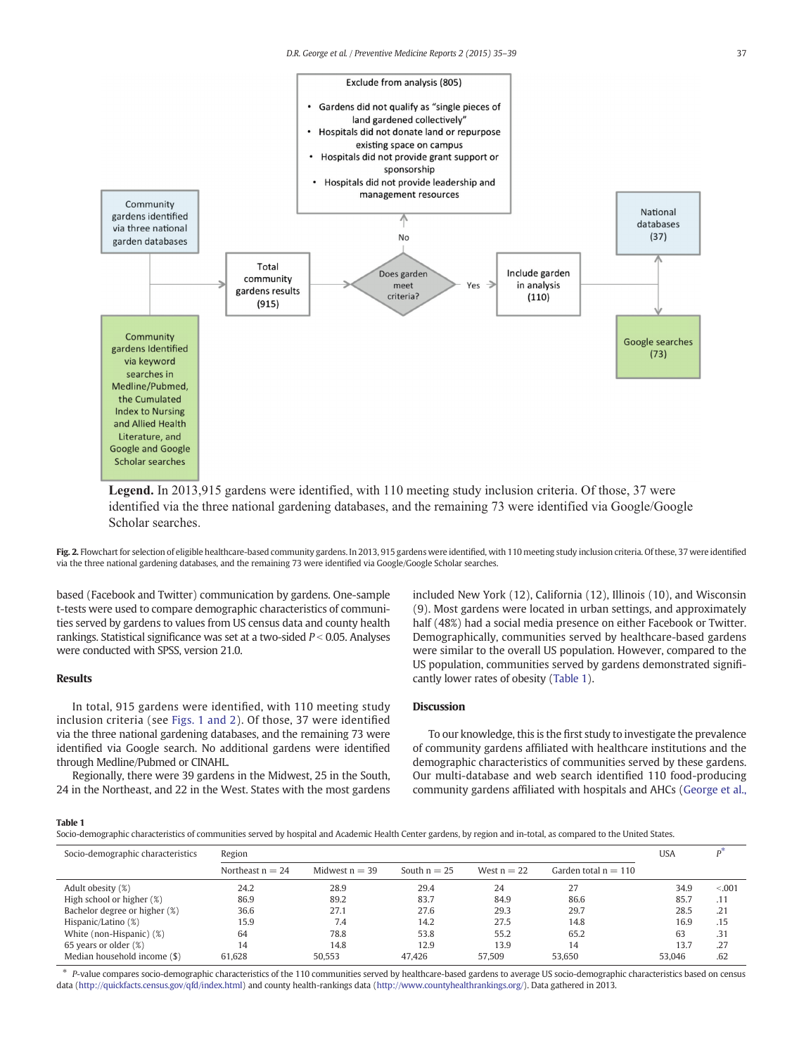

**Legend.** In 2013,915 gardens were identified, with 110 meeting study inclusion criteria. Of those, 37 were identified via the three national gardening databases, and the remaining 73 were identified via Google/Google Scholar searches.

Fig. 2. Flowchart for selection of eligible healthcare-based community gardens. In 2013, 915 gardens were identified, with 110 meeting study inclusion criteria. Of these, 37 were identified via the three national gardening databases, and the remaining 73 were identified via Google/Google Scholar searches.

based (Facebook and Twitter) communication by gardens. One-sample t-tests were used to compare demographic characteristics of communities served by gardens to values from US census data and county health rankings. Statistical significance was set at a two-sided  $P < 0.05$ . Analyses were conducted with SPSS, version 21.0.

# Results

In total, 915 gardens were identified, with 110 meeting study inclusion criteria (see [Figs. 1 and 2\)](#page-1-0). Of those, 37 were identified via the three national gardening databases, and the remaining 73 were identified via Google search. No additional gardens were identified through Medline/Pubmed or CINAHL.

Regionally, there were 39 gardens in the Midwest, 25 in the South, 24 in the Northeast, and 22 in the West. States with the most gardens included New York (12), California (12), Illinois (10), and Wisconsin (9). Most gardens were located in urban settings, and approximately half (48%) had a social media presence on either Facebook or Twitter. Demographically, communities served by healthcare-based gardens were similar to the overall US population. However, compared to the US population, communities served by gardens demonstrated significantly lower rates of obesity (Table 1).

# Discussion

To our knowledge, this is the first study to investigate the prevalence of community gardens affiliated with healthcare institutions and the demographic characteristics of communities served by these gardens. Our multi-database and web search identified 110 food-producing community gardens affiliated with hospitals and AHCs [\(George et al.,](#page-3-0)

## Table 1

Socio-demographic characteristics of communities served by hospital and Academic Health Center gardens, by region and in-total, as compared to the United States.

| Socio-demographic characteristics | Region             |                  |                |               |                        | <b>USA</b> |         |
|-----------------------------------|--------------------|------------------|----------------|---------------|------------------------|------------|---------|
|                                   | Northeast $n = 24$ | Midwest $n = 39$ | South $n = 25$ | West $n = 22$ | Garden total $n = 110$ |            |         |
| Adult obesity (%)                 | 24.2               | 28.9             | 29.4           | 24            | 27                     | 34.9       | < 0.001 |
| High school or higher (%)         | 86.9               | 89.2             | 83.7           | 84.9          | 86.6                   | 85.7       | .11     |
| Bachelor degree or higher (%)     | 36.6               | 27.1             | 27.6           | 29.3          | 29.7                   | 28.5       | .21     |
| Hispanic/Latino (%)               | 15.9               | 7.4              | 14.2           | 27.5          | 14.8                   | 16.9       | .15     |
| White (non-Hispanic) (%)          | 64                 | 78.8             | 53.8           | 55.2          | 65.2                   | 63         | .31     |
| 65 years or older (%)             | 14                 | 14.8             | 12.9           | 13.9          | 14                     | 13.7       | .27     |
| Median household income (\$)      | 61.628             | 50.553           | 47.426         | 57.509        | 53.650                 | 53.046     | .62     |

⁎ P-value compares socio-demographic characteristics of the 110 communities served by healthcare-based gardens to average US socio-demographic characteristics based on census data [\(http://quickfacts.census.gov/qfd/index.html](http://www.countyhealthrankings.org/)) and county health-rankings data [\(http://www.countyhealthrankings.org/\)](http://www.countyhealthrankings.org/). Data gathered in 2013.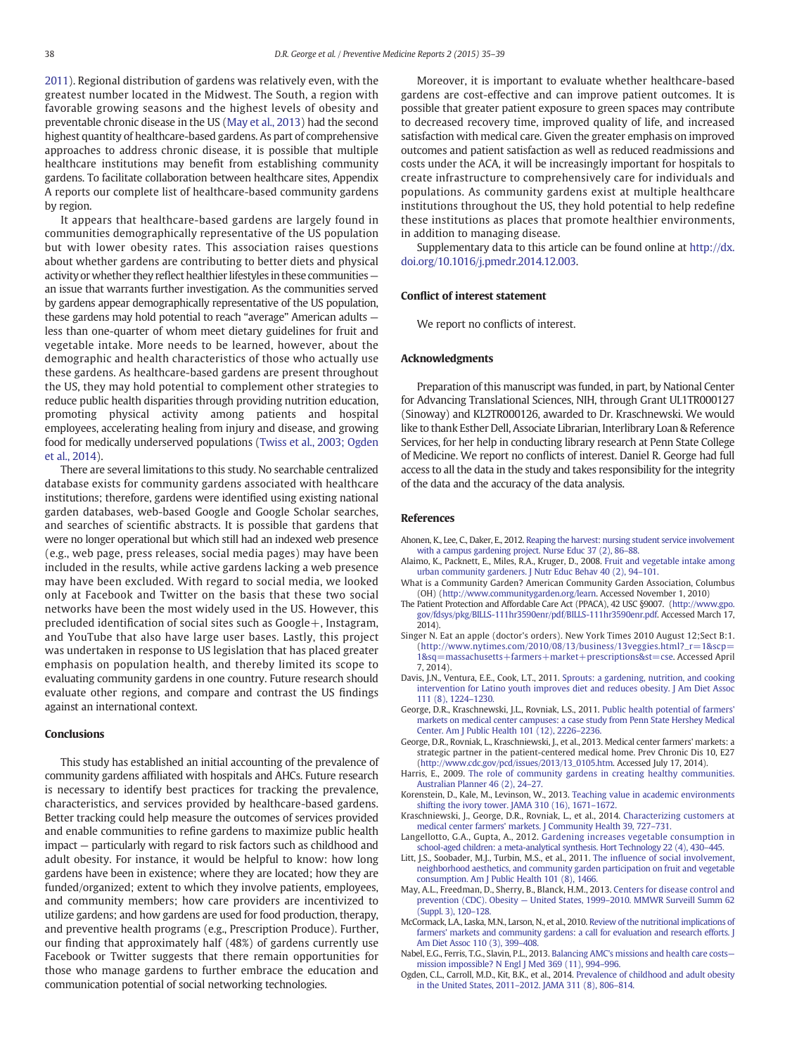<span id="page-3-0"></span>2011). Regional distribution of gardens was relatively even, with the greatest number located in the Midwest. The South, a region with favorable growing seasons and the highest levels of obesity and preventable chronic disease in the US (May et al., 2013) had the second highest quantity of healthcare-based gardens. As part of comprehensive approaches to address chronic disease, it is possible that multiple healthcare institutions may benefit from establishing community gardens. To facilitate collaboration between healthcare sites, Appendix A reports our complete list of healthcare-based community gardens by region.

It appears that healthcare-based gardens are largely found in communities demographically representative of the US population but with lower obesity rates. This association raises questions about whether gardens are contributing to better diets and physical activity or whether they reflect healthier lifestyles in these communities an issue that warrants further investigation. As the communities served by gardens appear demographically representative of the US population, these gardens may hold potential to reach "average" American adults less than one-quarter of whom meet dietary guidelines for fruit and vegetable intake. More needs to be learned, however, about the demographic and health characteristics of those who actually use these gardens. As healthcare-based gardens are present throughout the US, they may hold potential to complement other strategies to reduce public health disparities through providing nutrition education, promoting physical activity among patients and hospital employees, accelerating healing from injury and disease, and growing food for medically underserved populations ([Twiss et al., 2003; Ogden](#page-4-0) [et al., 2014](#page-4-0)).

There are several limitations to this study. No searchable centralized database exists for community gardens associated with healthcare institutions; therefore, gardens were identified using existing national garden databases, web-based Google and Google Scholar searches, and searches of scientific abstracts. It is possible that gardens that were no longer operational but which still had an indexed web presence (e.g., web page, press releases, social media pages) may have been included in the results, while active gardens lacking a web presence may have been excluded. With regard to social media, we looked only at Facebook and Twitter on the basis that these two social networks have been the most widely used in the US. However, this precluded identification of social sites such as Google+, Instagram, and YouTube that also have large user bases. Lastly, this project was undertaken in response to US legislation that has placed greater emphasis on population health, and thereby limited its scope to evaluating community gardens in one country. Future research should evaluate other regions, and compare and contrast the US findings against an international context.

# **Conclusions**

This study has established an initial accounting of the prevalence of community gardens affiliated with hospitals and AHCs. Future research is necessary to identify best practices for tracking the prevalence, characteristics, and services provided by healthcare-based gardens. Better tracking could help measure the outcomes of services provided and enable communities to refine gardens to maximize public health impact — particularly with regard to risk factors such as childhood and adult obesity. For instance, it would be helpful to know: how long gardens have been in existence; where they are located; how they are funded/organized; extent to which they involve patients, employees, and community members; how care providers are incentivized to utilize gardens; and how gardens are used for food production, therapy, and preventive health programs (e.g., Prescription Produce). Further, our finding that approximately half (48%) of gardens currently use Facebook or Twitter suggests that there remain opportunities for those who manage gardens to further embrace the education and communication potential of social networking technologies.

Moreover, it is important to evaluate whether healthcare-based gardens are cost-effective and can improve patient outcomes. It is possible that greater patient exposure to green spaces may contribute to decreased recovery time, improved quality of life, and increased satisfaction with medical care. Given the greater emphasis on improved outcomes and patient satisfaction as well as reduced readmissions and costs under the ACA, it will be increasingly important for hospitals to create infrastructure to comprehensively care for individuals and populations. As community gardens exist at multiple healthcare institutions throughout the US, they hold potential to help redefine these institutions as places that promote healthier environments, in addition to managing disease.

Supplementary data to this article can be found online at [http://dx.](http://dx.doi.org/10.1016/j.pmedr.2014.12.003) [doi.org/10.1016/j.pmedr.2014.12.003](http://dx.doi.org/10.1016/j.pmedr.2014.12.003).

#### Conflict of interest statement

We report no conflicts of interest.

#### Acknowledgments

Preparation of this manuscript was funded, in part, by National Center for Advancing Translational Sciences, NIH, through Grant UL1TR000127 (Sinoway) and KL2TR000126, awarded to Dr. Kraschnewski. We would like to thank Esther Dell, Associate Librarian, Interlibrary Loan & Reference Services, for her help in conducting library research at Penn State College of Medicine. We report no conflicts of interest. Daniel R. George had full access to all the data in the study and takes responsibility for the integrity of the data and the accuracy of the data analysis.

## References

- Ahonen, K., Lee, C., Daker, E., 2012. [Reaping the harvest: nursing student service involvement](http://refhub.elsevier.com/S2211-3355(14)00024-2/rf0065) [with a campus gardening project. Nurse Educ 37 \(2\), 86](http://refhub.elsevier.com/S2211-3355(14)00024-2/rf0065)–88.
- Alaimo, K., Packnett, E., Miles, R.A., Kruger, D., 2008. [Fruit and vegetable intake among](http://refhub.elsevier.com/S2211-3355(14)00024-2/rf0005) [urban community gardeners. J Nutr Educ Behav 40 \(2\), 94](http://refhub.elsevier.com/S2211-3355(14)00024-2/rf0005)–101.
- What is a Community Garden? American Community Garden Association, Columbus (OH) (<http://www.communitygarden.org/learn>. Accessed November 1, 2010)
- The Patient Protection and Affordable Care Act (PPACA), 42 USC §9007. ([http://www.gpo.](http://www.gpo.gov/fdsys/pkg/BILLS-111hr3590enr/pdf/BILLS-111hr3590enr.pdf) [gov/fdsys/pkg/BILLS-111hr3590enr/pdf/BILLS-111hr3590enr.pdf](http://www.gpo.gov/fdsys/pkg/BILLS-111hr3590enr/pdf/BILLS-111hr3590enr.pdf). Accessed March 17, 2014)
- Singer N. Eat an apple (doctor's orders). New York Times 2010 August 12;Sect B:1. ([http://www.nytimes.com/2010/08/13/business/13veggies.html?\\_r=1&scp=](http://www.nytimes.com/2010/08/13/business/13veggies.html?_r=1&scp=1&sq=massachusetts+farmers+market+prescriptions&st=cse) [1&sq=massachusetts+farmers+market+prescriptions&st=cse](http://www.nytimes.com/2010/08/13/business/13veggies.html?_r=1&scp=1&sq=massachusetts+farmers+market+prescriptions&st=cse). Accessed April 7, 2014).
- Davis, J.N., Ventura, E.E., Cook, L.T., 2011. [Sprouts: a gardening, nutrition, and cooking](http://refhub.elsevier.com/S2211-3355(14)00024-2/rf0040) [intervention for Latino youth improves diet and reduces obesity. J Am Diet Assoc](http://refhub.elsevier.com/S2211-3355(14)00024-2/rf0040) [111 \(8\), 1224](http://refhub.elsevier.com/S2211-3355(14)00024-2/rf0040)–1230.
- George, D.R., Kraschnewski, J.L., Rovniak, L.S., 2011. [Public health potential of farmers'](http://refhub.elsevier.com/S2211-3355(14)00024-2/rf0075) [markets on medical center campuses: a case study from Penn State Hershey Medical](http://refhub.elsevier.com/S2211-3355(14)00024-2/rf0075) [Center. Am J Public Health 101 \(12\), 2226](http://refhub.elsevier.com/S2211-3355(14)00024-2/rf0075)–2236.
- George, D.R., Rovniak, L., Kraschniewski, J., et al., 2013. Medical center farmers' markets: a strategic partner in the patient-centered medical home. Prev Chronic Dis 10, E27 [\(http://www.cdc.gov/pcd/issues/2013/13\\_0105.htm.](http://www.cdc.gov/pcd/issues/2013/13_0105.htm) Accessed July 17, 2014).
- Harris, E., 2009. [The role of community gardens in creating healthy communities.](http://refhub.elsevier.com/S2211-3355(14)00024-2/rf0030) [Australian Planner 46 \(2\), 24](http://refhub.elsevier.com/S2211-3355(14)00024-2/rf0030)–27.
- Korenstein, D., Kale, M., Levinson, W., 2013. [Teaching value in academic environments](http://refhub.elsevier.com/S2211-3355(14)00024-2/rf0070) [shifting the ivory tower. JAMA 310 \(16\), 1671](http://refhub.elsevier.com/S2211-3355(14)00024-2/rf0070)–1672.
- Kraschniewski, J., George, D.R., Rovniak, L., et al., 2014. Characterizing customers at medical center farmers' markets. J Community Health 39, 727–731.
- Langellotto, G.A., Gupta, A., 2012. [Gardening increases vegetable consumption in](http://refhub.elsevier.com/S2211-3355(14)00024-2/rf0025) [school-aged children: a meta-analytical synthesis. Hort Technology 22 \(4\), 430](http://refhub.elsevier.com/S2211-3355(14)00024-2/rf0025)–445.
- Litt, J.S., Soobader, M.J., Turbin, M.S., et al., 2011. The infl[uence of social involvement,](http://refhub.elsevier.com/S2211-3355(14)00024-2/rf0010) [neighborhood aesthetics, and community garden participation on fruit and vegetable](http://refhub.elsevier.com/S2211-3355(14)00024-2/rf0010) [consumption. Am J Public Health 101 \(8\), 1466](http://refhub.elsevier.com/S2211-3355(14)00024-2/rf0010).
- May, A.L., Freedman, D., Sherry, B., Blanck, H.M., 2013. [Centers for disease control and](http://refhub.elsevier.com/S2211-3355(14)00024-2/rf0080) prevention (CDC). Obesity — United States, 1999–[2010. MMWR Surveill Summ 62](http://refhub.elsevier.com/S2211-3355(14)00024-2/rf0080) [\(Suppl. 3\), 120](http://refhub.elsevier.com/S2211-3355(14)00024-2/rf0080)–128.
- McCormack, L.A., Laska, M.N., Larson, N., et al., 2010. [Review of the nutritional implications of](http://refhub.elsevier.com/S2211-3355(14)00024-2/rf0015) [farmers' markets and community gardens: a call for evaluation and research efforts. J](http://refhub.elsevier.com/S2211-3355(14)00024-2/rf0015) [Am Diet Assoc 110 \(3\), 399](http://refhub.elsevier.com/S2211-3355(14)00024-2/rf0015)–408.
- Nabel, E.G., Ferris, T.G., Slavin, P.L., 2013. [Balancing AMC's missions and health care costs](http://refhub.elsevier.com/S2211-3355(14)00024-2/rf0055) [mission impossible? N Engl J Med 369 \(11\), 994](http://refhub.elsevier.com/S2211-3355(14)00024-2/rf0055)–996.
- Ogden, C.L., Carroll, M.D., Kit, B.K., et al., 2014. [Prevalence of childhood and adult obesity](http://refhub.elsevier.com/S2211-3355(14)00024-2/rf0085) [in the United States, 2011](http://refhub.elsevier.com/S2211-3355(14)00024-2/rf0085)–2012. JAMA 311 (8), 806–814.